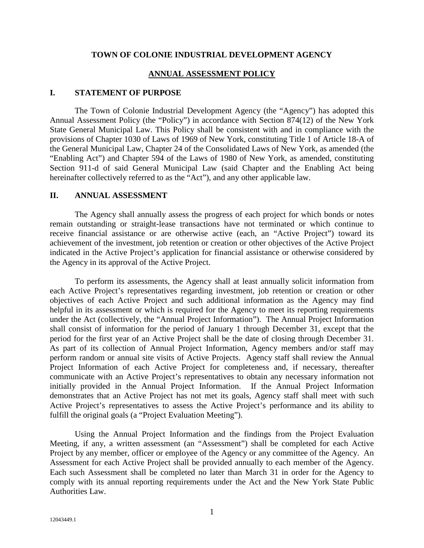## **TOWN OF COLONIE INDUSTRIAL DEVELOPMENT AGENCY**

## **ANNUAL ASSESSMENT POLICY**

## **I. STATEMENT OF PURPOSE**

The Town of Colonie Industrial Development Agency (the "Agency") has adopted this Annual Assessment Policy (the "Policy") in accordance with Section 874(12) of the New York State General Municipal Law. This Policy shall be consistent with and in compliance with the provisions of Chapter 1030 of Laws of 1969 of New York, constituting Title 1 of Article 18-A of the General Municipal Law, Chapter 24 of the Consolidated Laws of New York, as amended (the "Enabling Act") and Chapter 594 of the Laws of 1980 of New York, as amended, constituting Section 911-d of said General Municipal Law (said Chapter and the Enabling Act being hereinafter collectively referred to as the "Act"), and any other applicable law.

## **II. ANNUAL ASSESSMENT**

The Agency shall annually assess the progress of each project for which bonds or notes remain outstanding or straight-lease transactions have not terminated or which continue to receive financial assistance or are otherwise active (each, an "Active Project") toward its achievement of the investment, job retention or creation or other objectives of the Active Project indicated in the Active Project's application for financial assistance or otherwise considered by the Agency in its approval of the Active Project.

To perform its assessments, the Agency shall at least annually solicit information from each Active Project's representatives regarding investment, job retention or creation or other objectives of each Active Project and such additional information as the Agency may find helpful in its assessment or which is required for the Agency to meet its reporting requirements under the Act (collectively, the "Annual Project Information"). The Annual Project Information shall consist of information for the period of January 1 through December 31, except that the period for the first year of an Active Project shall be the date of closing through December 31. As part of its collection of Annual Project Information, Agency members and/or staff may perform random or annual site visits of Active Projects. Agency staff shall review the Annual Project Information of each Active Project for completeness and, if necessary, thereafter communicate with an Active Project's representatives to obtain any necessary information not initially provided in the Annual Project Information. If the Annual Project Information demonstrates that an Active Project has not met its goals, Agency staff shall meet with such Active Project's representatives to assess the Active Project's performance and its ability to fulfill the original goals (a "Project Evaluation Meeting").

Using the Annual Project Information and the findings from the Project Evaluation Meeting, if any, a written assessment (an "Assessment") shall be completed for each Active Project by any member, officer or employee of the Agency or any committee of the Agency. An Assessment for each Active Project shall be provided annually to each member of the Agency. Each such Assessment shall be completed no later than March 31 in order for the Agency to comply with its annual reporting requirements under the Act and the New York State Public Authorities Law.